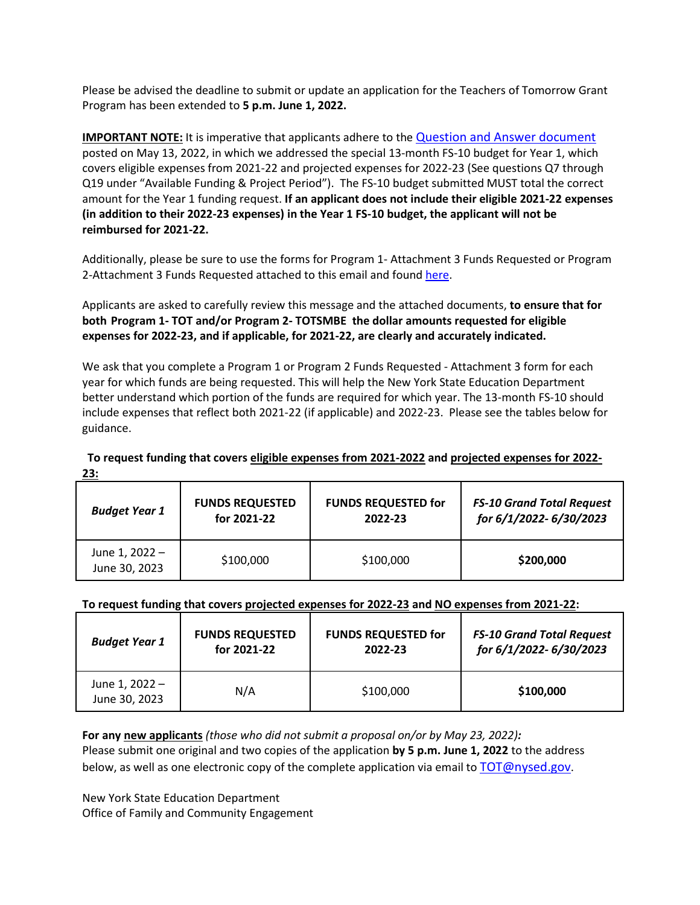Please be advised the deadline to submit or update an application for the Teachers of Tomorrow Grant Program has been extended to **5 p.m. June 1, 2022.**

**IMPORTANT NOTE:** It is imperative that applicants adhere to the [Question and Answer document](https://www.p12.nysed.gov/funding/2022-2026-teachers-of-tomorrow/nysed-rfp-gc21-007-teachers-of-tomorrow-qa.pdf) posted on May 13, 2022, in which we addressed the special 13-month FS-10 budget for Year 1, which covers eligible expenses from 2021-22 and projected expenses for 2022-23 (See questions Q7 through Q19 under "Available Funding & Project Period"). The FS-10 budget submitted MUST total the correct amount for the Year 1 funding request. **If an applicant does not include their eligible 2021-22 expenses (in addition to their 2022-23 expenses) in the Year 1 FS-10 budget, the applicant will not be reimbursed for 2021-22.** 

Additionally, please be sure to use the forms for Program 1- Attachment 3 Funds Requested or Program 2-Attachment 3 Funds Requested attached to this email and found [here.](https://www.p12.nysed.gov/funding/currentapps.html#gc-21-007)

Applicants are asked to carefully review this message and the attached documents, **to ensure that for both Program 1- TOT and/or Program 2- TOTSMBE the dollar amounts requested for eligible expenses for 2022-23, and if applicable, for 2021-22, are clearly and accurately indicated.**

We ask that you complete a Program 1 or Program 2 Funds Requested - Attachment 3 form for each year for which funds are being requested. This will help the New York State Education Department better understand which portion of the funds are required for which year. The 13-month FS-10 should include expenses that reflect both 2021-22 (if applicable) and 2022-23. Please see the tables below for guidance.

## **To request funding that covers eligible expenses from 2021-2022 and projected expenses for 2022- 23:**

| <b>Budget Year 1</b>            | <b>FUNDS REQUESTED</b> | <b>FUNDS REQUESTED for</b> | <b>FS-10 Grand Total Request</b> |
|---------------------------------|------------------------|----------------------------|----------------------------------|
|                                 | for 2021-22            | 2022-23                    | for 6/1/2022-6/30/2023           |
| June 1, 2022 -<br>June 30, 2023 | \$100,000              | \$100,000                  | \$200,000                        |

## **To request funding that covers projected expenses for 2022-23 and NO expenses from 2021-22:**

| <b>Budget Year 1</b>            | <b>FUNDS REQUESTED</b> | <b>FUNDS REQUESTED for</b> | <b>FS-10 Grand Total Request</b> |
|---------------------------------|------------------------|----------------------------|----------------------------------|
|                                 | for 2021-22            | 2022-23                    | for 6/1/2022-6/30/2023           |
| June 1, 2022 -<br>June 30, 2023 | N/A                    | \$100,000                  | \$100,000                        |

**For any new applicants** *(those who did not submit a proposal on/or by May 23, 2022):*  Please submit one original and two copies of the application **by 5 p.m. June 1, 2022** to the address below, as well as one electronic copy of the complete application via email to [TOT@nysed.gov.](mailto:TOT@nysed.gov)

New York State Education Department Office of Family and Community Engagement